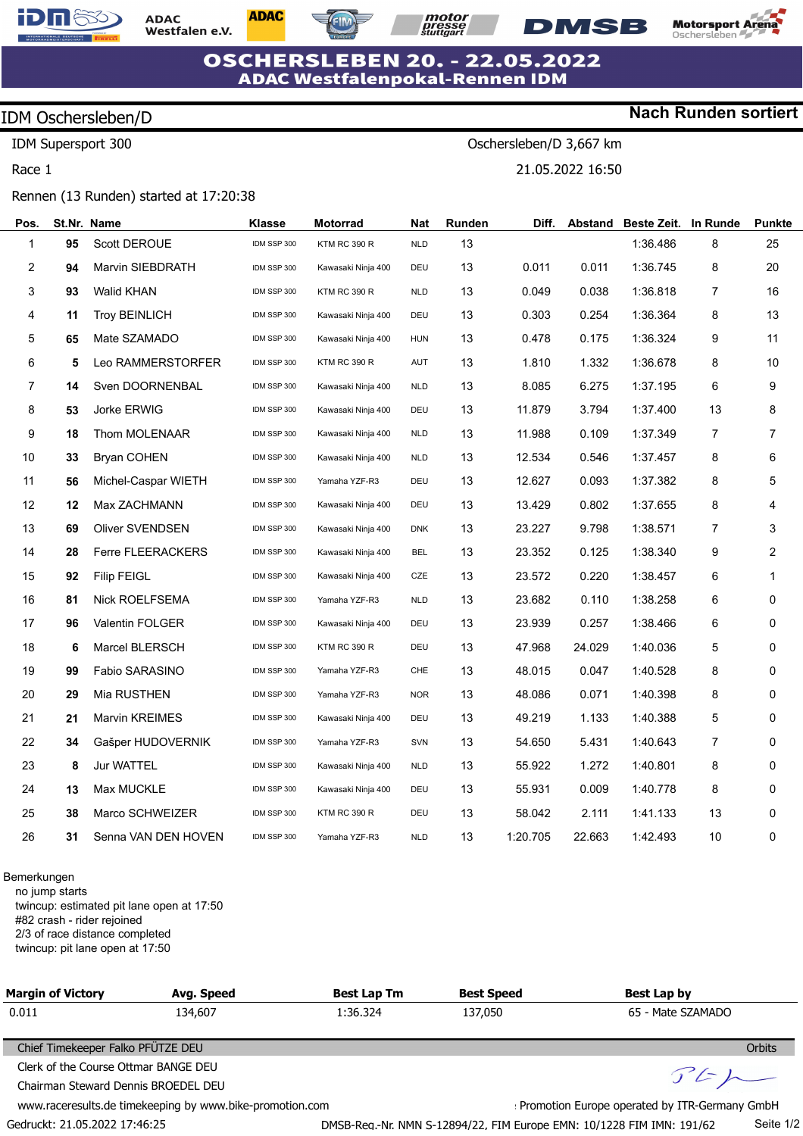

**ADAC** Westfalen e.V. **ADAC** 

*motor*<br>*presse<br>stuttgart* **DMSB** 

Oschersleben/D 3,667 km

21.05.2022 16:50



**Nach Runden sortiert**

### **OSCHERSLEBEN 20. - 22.05.2022 ADAC Westfalenpokal-Rennen IDM**

## IDM Oschersleben/D

IDM Supersport 300

Race 1

#### Rennen (13 Runden) started at 17:20:38

| Pos.             | St.Nr. Name |                          | Klasse      | Motorrad            | Nat        | Runden | Diff.    | Abstand | <b>Beste Zeit.</b> | In Runde       | <b>Punkte</b> |
|------------------|-------------|--------------------------|-------------|---------------------|------------|--------|----------|---------|--------------------|----------------|---------------|
| 1                | 95          | Scott DEROUE             | IDM SSP 300 | <b>KTM RC 390 R</b> | <b>NLD</b> | 13     |          |         | 1:36.486           | 8              | 25            |
| $\overline{2}$   | 94          | Marvin SIEBDRATH         | IDM SSP 300 | Kawasaki Ninja 400  | DEU        | 13     | 0.011    | 0.011   | 1:36.745           | 8              | 20            |
| 3                | 93          | <b>Walid KHAN</b>        | IDM SSP 300 | <b>KTM RC 390 R</b> | <b>NLD</b> | 13     | 0.049    | 0.038   | 1:36.818           | $\overline{7}$ | 16            |
| 4                | 11          | <b>Troy BEINLICH</b>     | IDM SSP 300 | Kawasaki Ninja 400  | DEU        | 13     | 0.303    | 0.254   | 1:36.364           | 8              | 13            |
| 5                | 65          | Mate SZAMADO             | IDM SSP 300 | Kawasaki Ninja 400  | <b>HUN</b> | 13     | 0.478    | 0.175   | 1:36.324           | 9              | 11            |
| $\,6$            | 5           | Leo RAMMERSTORFER        | IDM SSP 300 | <b>KTM RC 390 R</b> | AUT        | 13     | 1.810    | 1.332   | 1:36.678           | 8              | 10            |
| $\boldsymbol{7}$ | 14          | Sven DOORNENBAL          | IDM SSP 300 | Kawasaki Ninja 400  | <b>NLD</b> | 13     | 8.085    | 6.275   | 1:37.195           | 6              | 9             |
| 8                | 53          | Jorke ERWIG              | IDM SSP 300 | Kawasaki Ninja 400  | DEU        | 13     | 11.879   | 3.794   | 1:37.400           | 13             | 8             |
| 9                | 18          | Thom MOLENAAR            | IDM SSP 300 | Kawasaki Ninja 400  | <b>NLD</b> | 13     | 11.988   | 0.109   | 1:37.349           | $\overline{7}$ | 7             |
| 10               | 33          | <b>Bryan COHEN</b>       | IDM SSP 300 | Kawasaki Ninja 400  | <b>NLD</b> | 13     | 12.534   | 0.546   | 1:37.457           | 8              | 6             |
| 11               | 56          | Michel-Caspar WIETH      | IDM SSP 300 | Yamaha YZF-R3       | DEU        | 13     | 12.627   | 0.093   | 1:37.382           | 8              | 5             |
| 12               | 12          | Max ZACHMANN             | IDM SSP 300 | Kawasaki Ninja 400  | DEU        | 13     | 13.429   | 0.802   | 1:37.655           | 8              | 4             |
| 13               | 69          | <b>Oliver SVENDSEN</b>   | IDM SSP 300 | Kawasaki Ninja 400  | <b>DNK</b> | 13     | 23.227   | 9.798   | 1:38.571           | 7              | 3             |
| 14               | 28          | <b>Ferre FLEERACKERS</b> | IDM SSP 300 | Kawasaki Ninja 400  | <b>BEL</b> | 13     | 23.352   | 0.125   | 1:38.340           | 9              | 2             |
| 15               | 92          | <b>Filip FEIGL</b>       | IDM SSP 300 | Kawasaki Ninja 400  | CZE        | 13     | 23.572   | 0.220   | 1:38.457           | 6              | 1             |
| 16               | 81          | <b>Nick ROELFSEMA</b>    | IDM SSP 300 | Yamaha YZF-R3       | <b>NLD</b> | 13     | 23.682   | 0.110   | 1:38.258           | 6              | 0             |
| 17               | 96          | <b>Valentin FOLGER</b>   | IDM SSP 300 | Kawasaki Ninja 400  | DEU        | 13     | 23.939   | 0.257   | 1:38.466           | 6              | 0             |
| 18               | 6           | Marcel BLERSCH           | IDM SSP 300 | <b>KTM RC 390 R</b> | DEU        | 13     | 47.968   | 24.029  | 1:40.036           | 5              | 0             |
| 19               | 99          | Fabio SARASINO           | IDM SSP 300 | Yamaha YZF-R3       | <b>CHE</b> | 13     | 48.015   | 0.047   | 1:40.528           | 8              | 0             |
| 20               | 29          | Mia RUSTHEN              | IDM SSP 300 | Yamaha YZF-R3       | <b>NOR</b> | 13     | 48.086   | 0.071   | 1:40.398           | 8              | 0             |
| 21               | 21          | Marvin KREIMES           | IDM SSP 300 | Kawasaki Ninja 400  | DEU        | 13     | 49.219   | 1.133   | 1:40.388           | 5              | 0             |
| 22               | 34          | Gašper HUDOVERNIK        | IDM SSP 300 | Yamaha YZF-R3       | SVN        | 13     | 54.650   | 5.431   | 1:40.643           | $\overline{7}$ | 0             |
| 23               | 8           | <b>Jur WATTEL</b>        | IDM SSP 300 | Kawasaki Ninja 400  | <b>NLD</b> | 13     | 55.922   | 1.272   | 1:40.801           | 8              | 0             |
| 24               | 13          | Max MUCKLE               | IDM SSP 300 | Kawasaki Ninja 400  | DEU        | 13     | 55.931   | 0.009   | 1:40.778           | 8              | 0             |
| 25               | 38          | Marco SCHWEIZER          | IDM SSP 300 | <b>KTM RC 390 R</b> | DEU        | 13     | 58.042   | 2.111   | 1:41.133           | 13             | 0             |
| 26               | 31          | Senna VAN DEN HOVEN      | IDM SSP 300 | Yamaha YZF-R3       | <b>NLD</b> | 13     | 1:20.705 | 22.663  | 1:42.493           | 10             | 0             |
|                  |             |                          |             |                     |            |        |          |         |                    |                |               |

Bemerkungen

no jump starts twincup: estimated pit lane open at 17:50 #82 crash - rider rejoined

2/3 of race distance completed

Gedruckt: 21.05.2022 17:46:25

twincup: pit lane open at 17:50

| <b>Margin of Victory</b>                           | Avg. Speed                                               | <b>Best Lap Tm</b>                            | <b>Best Speed</b> | Best Lap by       |  |  |  |
|----------------------------------------------------|----------------------------------------------------------|-----------------------------------------------|-------------------|-------------------|--|--|--|
| 0.011                                              | 134,607                                                  | 1:36.324                                      | 137,050           | 65 - Mate SZAMADO |  |  |  |
|                                                    |                                                          |                                               |                   |                   |  |  |  |
| Chief Timekeeper Falko PFÜTZE DEU<br><b>Orbits</b> |                                                          |                                               |                   |                   |  |  |  |
| Clerk of the Course Ottmar BANGE DEU               | F F                                                      |                                               |                   |                   |  |  |  |
| Chairman Steward Dennis BROEDEL DEU                |                                                          |                                               |                   |                   |  |  |  |
|                                                    | www.raceresults.de timekeeping by www.bike-promotion.com | Promotion Europe operated by ITR-Germany GmbH |                   |                   |  |  |  |

DMSB-Reg.-Nr. NMN S-12894/22, FIM Europe EMN: 10/1228 FIM IMN: 191/62

Seite 1/2